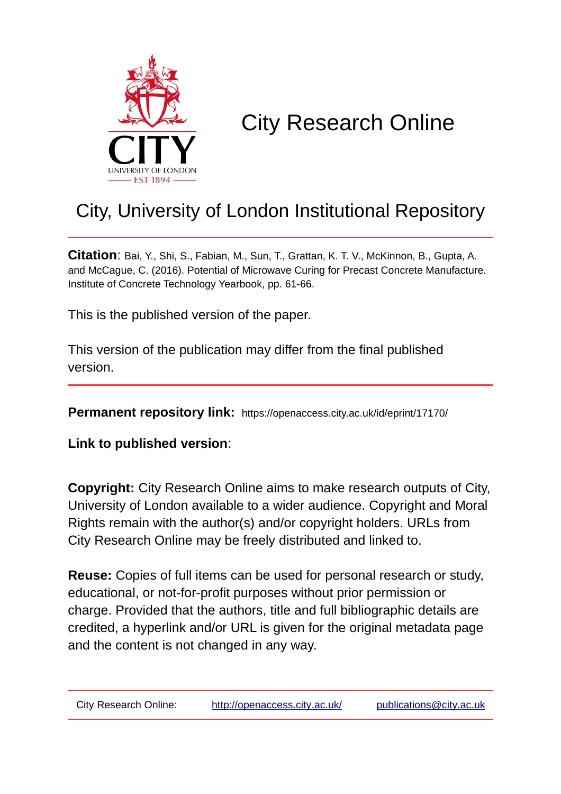

# City Research Online

### City, University of London Institutional Repository

**Citation**: Bai, Y., Shi, S., Fabian, M., Sun, T., Grattan, K. T. V., McKinnon, B., Gupta, A. and McCague, C. (2016). Potential of Microwave Curing for Precast Concrete Manufacture. Institute of Concrete Technology Yearbook, pp. 61-66.

This is the published version of the paper.

This version of the publication may differ from the final published version.

**Permanent repository link:** https://openaccess.city.ac.uk/id/eprint/17170/

**Link to published version**:

**Copyright:** City Research Online aims to make research outputs of City, University of London available to a wider audience. Copyright and Moral Rights remain with the author(s) and/or copyright holders. URLs from City Research Online may be freely distributed and linked to.

**Reuse:** Copies of full items can be used for personal research or study, educational, or not-for-profit purposes without prior permission or charge. Provided that the authors, title and full bibliographic details are credited, a hyperlink and/or URL is given for the original metadata page and the content is not changed in any way.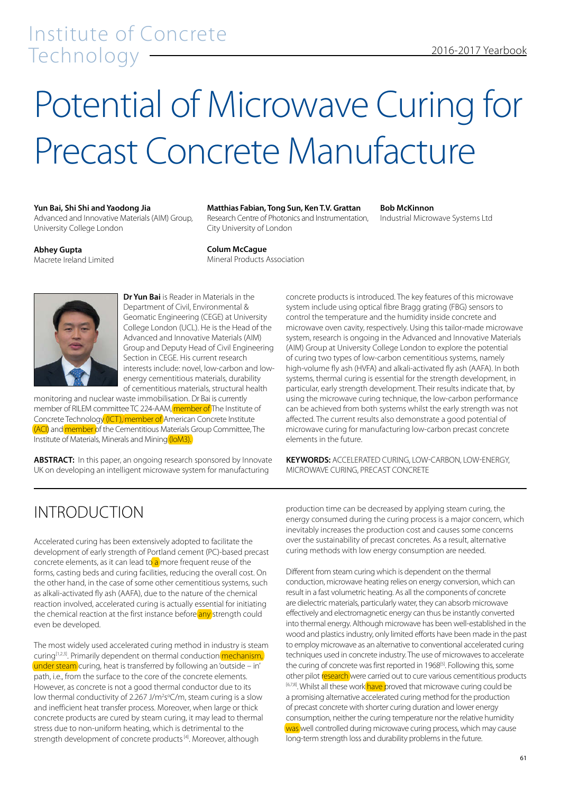# Potential of Microwave Curing for Precast Concrete Manufacture

#### **Yun Bai, Shi Shi and Yaodong Jia**

Advanced and Innovative Materials (AIM) Group, University College London

#### **Matthias Fabian, Tong Sun, Ken T.V. Grattan**

Research Centre of Photonics and Instrumentation, City University of London

#### **Bob McKinnon**

Industrial Microwave Systems Ltd

#### **Abhey Gupta** Macrete Ireland Limited

**Colum McCague** Mineral Products Association

**Dr Yun Bai** is Reader in Materials in the Department of Civil, Environmental & Geomatic Engineering (CEGE) at University College London (UCL). He is the Head of the Advanced and Innovative Materials (AIM) Group and Deputy Head of Civil Engineering Section in CEGE. His current research interests include: novel, low-carbon and lowenergy cementitious materials, durability of cementitious materials, structural health

monitoring and nuclear waste immobilisation. Dr Bai is currently member of RILEM committee TC 224-AAM, member of The Institute of Concrete Technology (ICT), member of American Concrete Institute (ACI) and member of the Cementitious Materials Group Committee, The Institute of Materials, Minerals and Mining (IoM3).

**ABSTRACT:** In this paper, an ongoing research sponsored by Innovate UK on developing an intelligent microwave system for manufacturing

concrete products is introduced. The key features of this microwave system include using optical fibre Bragg grating (FBG) sensors to control the temperature and the humidity inside concrete and microwave oven cavity, respectively. Using this tailor-made microwave system, research is ongoing in the Advanced and Innovative Materials (AIM) Group at University College London to explore the potential of curing two types of low-carbon cementitious systems, namely high-volume fly ash (HVFA) and alkali-activated fly ash (AAFA). In both systems, thermal curing is essential for the strength development, in particular, early strength development. Their results indicate that, by using the microwave curing technique, the low-carbon performance can be achieved from both systems whilst the early strength was not affected. The current results also demonstrate a good potential of microwave curing for manufacturing low-carbon precast concrete elements in the future.

**KEYWORDS:** ACCELERATED CURING, LOW-CARBON, LOW-ENERGY, MICROWAVE CURING, PRECAST CONCRETE

#### INTRODUCTION

Accelerated curing has been extensively adopted to facilitate the development of early strength of Portland cement (PC)-based precast concrete elements, as it can lead to  $a$  more frequent reuse of the forms, casting beds and curing facilities, reducing the overall cost. On the other hand, in the case of some other cementitious systems, such as alkali-activated fly ash (AAFA), due to the nature of the chemical reaction involved, accelerated curing is actually essential for initiating the chemical reaction at the first instance before any strength could even be developed.

The most widely used accelerated curing method in industry is steam curing<sup>[1,2,3]</sup>. Primarily dependent on thermal conduction mechanism, under steam curing, heat is transferred by following an 'outside – in' path, i.e., from the surface to the core of the concrete elements. However, as concrete is not a good thermal conductor due to its low thermal conductivity of 2.267 J/m<sup>2</sup>s°C/m, steam curing is a slow and inefficient heat transfer process. Moreover, when large or thick concrete products are cured by steam curing, it may lead to thermal stress due to non-uniform heating, which is detrimental to the strength development of concrete products<sup>[4]</sup>. Moreover, although

production time can be decreased by applying steam curing, the energy consumed during the curing process is a major concern, which inevitably increases the production cost and causes some concerns over the sustainability of precast concretes. As a result, alternative curing methods with low energy consumption are needed.

Different from steam curing which is dependent on the thermal conduction, microwave heating relies on energy conversion, which can result in a fast volumetric heating. As all the components of concrete are dielectric materials, particularly water, they can absorb microwave effectively and electromagnetic energy can thus be instantly converted into thermal energy. Although microwave has been well-established in the wood and plastics industry, only limited efforts have been made in the past to employ microwave as an alternative to conventional accelerated curing techniques used in concrete industry. The use of microwaves to accelerate the curing of concrete was first reported in 1968<sup>[5]</sup>. Following this, some other pilot research were carried out to cure various cementitious products [6,7,8]. Whilst all these work have proved that microwave curing could be a promising alternative accelerated curing method for the production of precast concrete with shorter curing duration and lower energy consumption, neither the curing temperature nor the relative humidity was well controlled during microwave curing process, which may cause long-term strength loss and durability problems in the future.

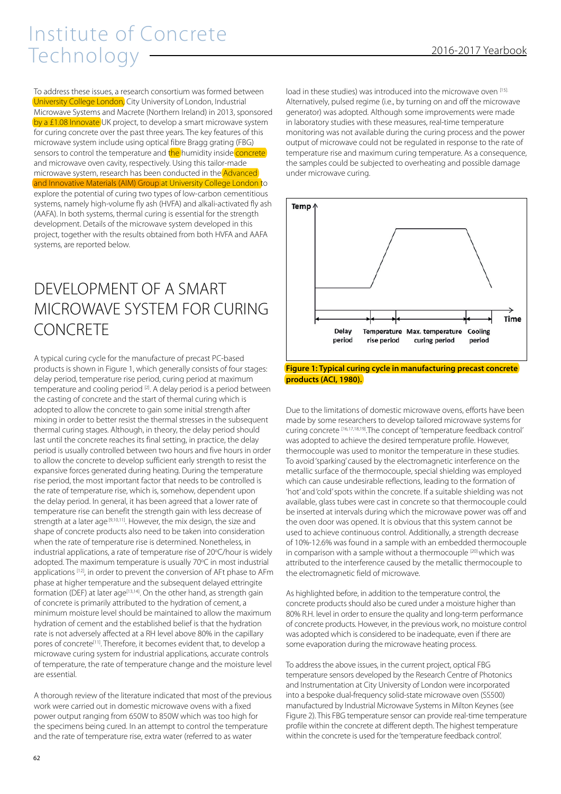# Institute of Concrete Technology 2016-2017 Yearbook

To address these issues, a research consortium was formed between University College London, City University of London, Industrial Microwave Systems and Macrete (Northern Ireland) in 2013, sponsored by a £1.08 Innovate UK project, to develop a smart microwave system for curing concrete over the past three years. The key features of this microwave system include using optical fibre Bragg grating (FBG) sensors to control the temperature and the humidity inside concrete and microwave oven cavity, respectively. Using this tailor-made microwave system, research has been conducted in the Advanced and Innovative Materials (AIM) Group at University College London to explore the potential of curing two types of low-carbon cementitious systems, namely high-volume fly ash (HVFA) and alkali-activated fly ash (AAFA). In both systems, thermal curing is essential for the strength development. Details of the microwave system developed in this project, together with the results obtained from both HVFA and AAFA systems, are reported below.

#### DEVELOPMENT OF A SMART MICROWAVE SYSTEM FOR CURING **CONCRETE**

A typical curing cycle for the manufacture of precast PC-based products is shown in Figure 1, which generally consists of four stages: delay period, temperature rise period, curing period at maximum temperature and cooling period [2]. A delay period is a period between the casting of concrete and the start of thermal curing which is adopted to allow the concrete to gain some initial strength after mixing in order to better resist the thermal stresses in the subsequent thermal curing stages. Although, in theory, the delay period should last until the concrete reaches its final setting, in practice, the delay period is usually controlled between two hours and five hours in order to allow the concrete to develop sufficient early strength to resist the expansive forces generated during heating. During the temperature rise period, the most important factor that needs to be controlled is the rate of temperature rise, which is, somehow, dependent upon the delay period. In general, it has been agreed that a lower rate of temperature rise can benefit the strength gain with less decrease of strength at a later age [9,10,11]. However, the mix design, the size and shape of concrete products also need to be taken into consideration when the rate of temperature rise is determined. Nonetheless, in industrial applications, a rate of temperature rise of 20°C/hour is widely adopted. The maximum temperature is usually 70°C in most industrial applications [12], in order to prevent the conversion of AFt phase to AFm phase at higher temperature and the subsequent delayed ettringite formation (DEF) at later age<sup>[13,14]</sup>. On the other hand, as strength gain of concrete is primarily attributed to the hydration of cement, a minimum moisture level should be maintained to allow the maximum hydration of cement and the established belief is that the hydration rate is not adversely affected at a RH level above 80% in the capillary pores of concrete<sup>[11]</sup>. Therefore, it becomes evident that, to develop a microwave curing system for industrial applications, accurate controls of temperature, the rate of temperature change and the moisture level are essential.

A thorough review of the literature indicated that most of the previous work were carried out in domestic microwave ovens with a fixed power output ranging from 650W to 850W which was too high for the specimens being cured. In an attempt to control the temperature and the rate of temperature rise, extra water (referred to as water

load in these studies) was introduced into the microwave oven [15]. Alternatively, pulsed regime (i.e., by turning on and off the microwave generator) was adopted. Although some improvements were made in laboratory studies with these measures, real-time temperature monitoring was not available during the curing process and the power output of microwave could not be regulated in response to the rate of temperature rise and maximum curing temperature. As a consequence, the samples could be subjected to overheating and possible damage under microwave curing.



**Figure 1: Typical curing cycle in manufacturing precast concrete products (ACI, 1980).**

Due to the limitations of domestic microwave ovens, efforts have been made by some researchers to develop tailored microwave systems for curing concrete [16,17,18,19].The concept of 'temperature feedback control' was adopted to achieve the desired temperature profile. However, thermocouple was used to monitor the temperature in these studies. To avoid 'sparking' caused by the electromagnetic interference on the metallic surface of the thermocouple, special shielding was employed which can cause undesirable reflections, leading to the formation of 'hot' and 'cold' spots within the concrete. If a suitable shielding was not available, glass tubes were cast in concrete so that thermocouple could be inserted at intervals during which the microwave power was off and the oven door was opened. It is obvious that this system cannot be used to achieve continuous control. Additionally, a strength decrease of 10%-12.6% was found in a sample with an embedded thermocouple in comparison with a sample without a thermocouple [20] which was attributed to the interference caused by the metallic thermocouple to the electromagnetic field of microwave.

As highlighted before, in addition to the temperature control, the concrete products should also be cured under a moisture higher than 80% R.H. level in order to ensure the quality and long-term performance of concrete products. However, in the previous work, no moisture control was adopted which is considered to be inadequate, even if there are some evaporation during the microwave heating process.

To address the above issues, in the current project, optical FBG temperature sensors developed by the Research Centre of Photonics and Instrumentation at City University of London were incorporated into a bespoke dual-frequency solid-state microwave oven (SS500) manufactured by Industrial Microwave Systems in Milton Keynes (see Figure 2). This FBG temperature sensor can provide real-time temperature profile within the concrete at different depth. The highest temperature within the concrete is used for the 'temperature feedback control'.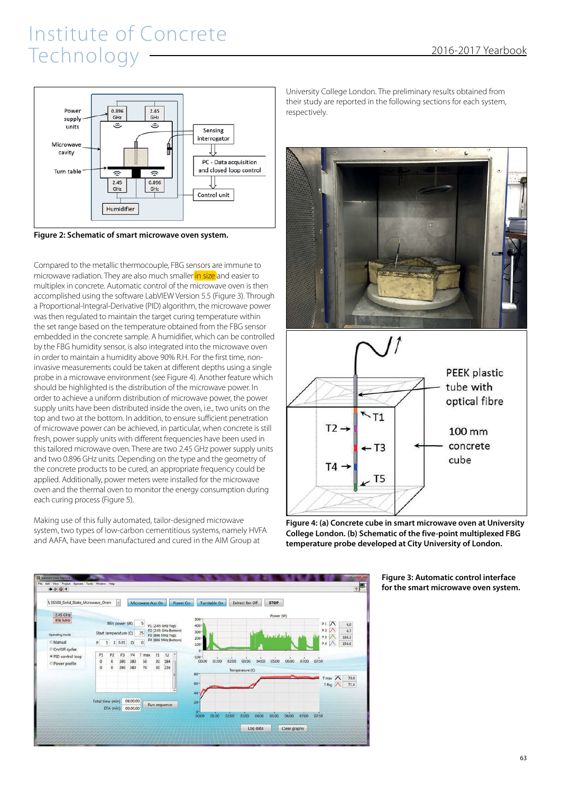

**Figure 2: Schematic of smart microwave oven system.**

Compared to the metallic thermocouple, FBG sensors are immune to microwave radiation. They are also much smaller in size and easier to multiplex in concrete. Automatic control of the microwave oven is then accomplished using the software LabVIEW Version 5.5 (Figure 3). Through a Proportional-Integral-Derivative (PID) algorithm, the microwave power was then regulated to maintain the target curing temperature within the set range based on the temperature obtained from the FBG sensor embedded in the concrete sample. A humidifier, which can be controlled by the FBG humidity sensor, is also integrated into the microwave oven in order to maintain a humidity above 90% R.H. For the first time, noninvasive measurements could be taken at different depths using a single probe in a microwave environment (see Figure 4). Another feature which should be highlighted is the distribution of the microwave power. In order to achieve a uniform distribution of microwave power, the power supply units have been distributed inside the oven, i.e., two units on the top and two at the bottom. In addition, to ensure sufficient penetration of microwave power can be achieved, in particular, when concrete is still fresh, power supply units with different frequencies have been used in this tailored microwave oven. There are two 2.45 GHz power supply units and two 0.896 GHz units. Depending on the type and the geometry of the concrete products to be cured, an appropriate frequency could be applied. Additionally, power meters were installed for the microwave oven and the thermal oven to monitor the energy consumption during each curing process (Figure 5).

Making use of this fully automated, tailor-designed microwave system, two types of low-carbon cementitious systems, namely HVFA and AAFA, have been manufactured and cured in the AIM Group at



University College London. The preliminary results obtained from their study are reported in the following sections for each system, respectively.





 $T2 \rightarrow$ 

 $T4 -$ 

 $-$  T3

T<sub>5</sub>

**Figure 3: Automatic control interface for the smart microwave oven system.**

100 mm concrete

cube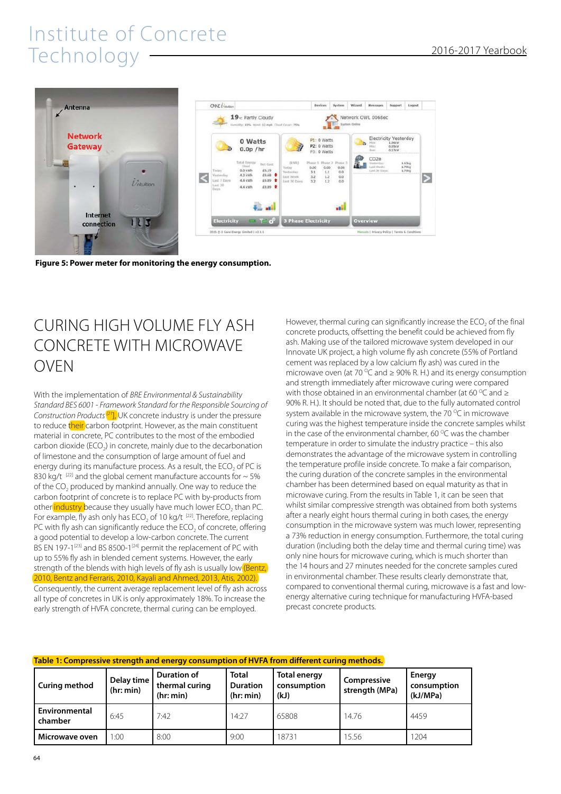

**Figure 5: Power meter for monitoring the energy consumption.**

#### CURING HIGH VOLUME FLY ASH CONCRETE WITH MICROWAVE OVEN

With the implementation of *BRE Environmental & Sustainability Standard BES 6001 - Framework Standard for the Responsible Sourcing of Construction Products [21*], UK concrete industry is under the pressure to reduce their carbon footprint. However, as the main constituent material in concrete, PC contributes to the most of the embodied carbon dioxide (ECO<sub>2</sub>) in concrete, mainly due to the decarbonation of limestone and the consumption of large amount of fuel and energy during its manufacture process. As a result, the ECO<sub>2</sub> of PC is 830 kg/t<sup>[22]</sup> and the global cement manufacture accounts for  $\sim$  5% of the  $CO<sub>2</sub>$  produced by mankind annually. One way to reduce the carbon footprint of concrete is to replace PC with by-products from other industry because they usually have much lower ECO<sub>2</sub> than PC. For example, fly ash only has  $ECO<sub>2</sub>$  of 10 kg/t  $[22]$ . Therefore, replacing PC with fly ash can significantly reduce the  $ECO<sub>2</sub>$  of concrete, offering a good potential to develop a low-carbon concrete. The current BS EN 197-1<sup>[23]</sup> and BS 8500-1<sup>[24]</sup> permit the replacement of PC with up to 55% fly ash in blended cement systems. However, the early strength of the blends with high levels of fly ash is usually low (Bentz, 2010, Bentz and Ferraris, 2010, Kayali and Ahmed, 2013, Atis, 2002). Consequently, the current average replacement level of fly ash across all type of concretes in UK is only approximately 18%. To increase the early strength of HVFA concrete, thermal curing can be employed.

However, thermal curing can significantly increase the  $ECO<sub>2</sub>$  of the final concrete products, offsetting the benefit could be achieved from fly ash. Making use of the tailored microwave system developed in our Innovate UK project, a high volume fly ash concrete (55% of Portland cement was replaced by a low calcium fly ash) was cured in the microwave oven (at 70  $\degree$ C and  $\geq$  90% R. H.) and its energy consumption and strength immediately after microwave curing were compared with those obtained in an environmental chamber (at 60  $^{\circ}$ C and  $\geq$ 90% R. H.). It should be noted that, due to the fully automated control system available in the microwave system, the 70  $\rm{^{\circ}C}$  in microwave curing was the highest temperature inside the concrete samples whilst in the case of the environmental chamber, 60  $\degree$ C was the chamber temperature in order to simulate the industry practice – this also demonstrates the advantage of the microwave system in controlling the temperature profile inside concrete. To make a fair comparison, the curing duration of the concrete samples in the environmental chamber has been determined based on equal maturity as that in microwave curing. From the results in Table 1, it can be seen that whilst similar compressive strength was obtained from both systems after a nearly eight hours thermal curing in both cases, the energy consumption in the microwave system was much lower, representing a 73% reduction in energy consumption. Furthermore, the total curing duration (including both the delay time and thermal curing time) was only nine hours for microwave curing, which is much shorter than the 14 hours and 27 minutes needed for the concrete samples cured in environmental chamber. These results clearly demonstrate that, compared to conventional thermal curing, microwave is a fast and lowenergy alternative curing technique for manufacturing HVFA-based precast concrete products.

#### **Table 1: Compressive strength and energy consumption of HVFA from different curing methods.**

| <b>Curing method</b>            | Delay time<br>(hr: min) | <b>Duration of</b><br>thermal curing<br>(hr: min) | <b>Total</b><br><b>Duration</b><br>(hr: min) | <b>Total energy</b><br>consumption<br>(kJ) | Compressive<br>strength (MPa) | <b>Energy</b><br>consumption<br>(kJ/MPa) |
|---------------------------------|-------------------------|---------------------------------------------------|----------------------------------------------|--------------------------------------------|-------------------------------|------------------------------------------|
| <b>Environmental</b><br>chamber | 6:45                    | 7:42                                              | 14:27                                        | 65808                                      | 14.76                         | 4459                                     |
| Microwave oven                  | 1:00                    | 8:00                                              | 9:00                                         | 18731                                      | 15.56                         | 1204                                     |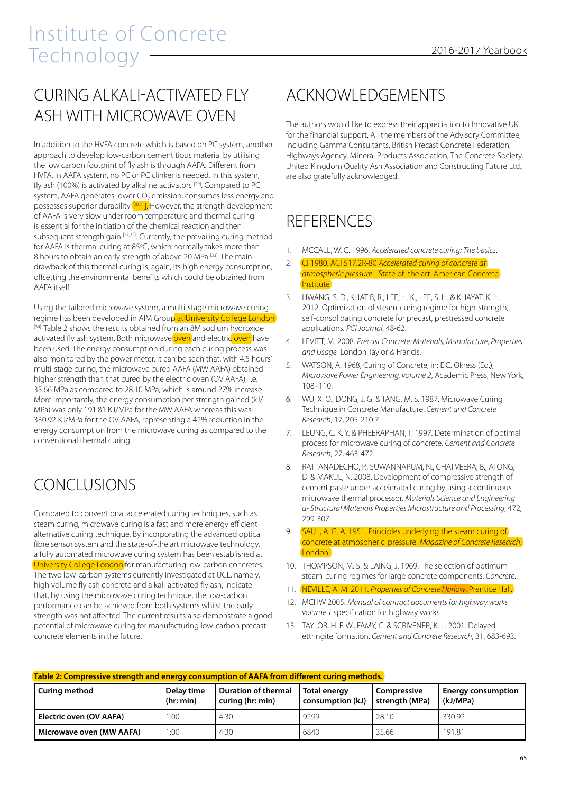#### CURING ALKALI-ACTIVATED FLY ASH WITH MICROWAVE OVEN

In addition to the HVFA concrete which is based on PC system, another approach to develop low-carbon cementitious material by utilising the low carbon footprint of fly ash is through AAFA. Different from HVFA, in AAFA system, no PC or PC clinker is needed. In this system, fly ash (100%) is activated by alkaline activators<sup>[29]</sup>. Compared to PC system, AAFA generates lower CO<sub>2</sub> emission, consumes less energy and possesses superior durability  $\frac{30,311}{2}$  However, the strength development of AAFA is very slow under room temperature and thermal curing is essential for the initiation of the chemical reaction and then subsequent strength gain [32,33]. Currently, the prevailing curing method for AAFA is thermal curing at 85°C, which normally takes more than 8 hours to obtain an early strength of above 20 MPa [33]. The main drawback of this thermal curing is, again, its high energy consumption, offsetting the environmental benefits which could be obtained from AAFA itself.

Using the tailored microwave system, a multi-stage microwave curing regime has been developed in AIM Group at University College London [34]. Table 2 shows the results obtained from an 8M sodium hydroxide activated fly ash system. Both microwave oven and electric oven have been used. The energy consumption during each curing process was also monitored by the power meter. It can be seen that, with 4.5 hours' multi-stage curing, the microwave cured AAFA (MW AAFA) obtained higher strength than that cured by the electric oven (OV AAFA), i.e. 35.66 MPa as compared to 28.10 MPa, which is around 27% increase. More importantly, the energy consumption per strength gained (kJ/ MPa) was only 191.81 KJ/MPa for the MW AAFA whereas this was 330.92 KJ/MPa for the OV AAFA, representing a 42% reduction in the energy consumption from the microwave curing as compared to the conventional thermal curing.

### CONCLUSIONS

Compared to conventional accelerated curing techniques, such as steam curing, microwave curing is a fast and more energy efficient alternative curing technique. By incorporating the advanced optical fibre sensor system and the state-of-the art microwave technology, a fully automated microwave curing system has been established at University College London for manufacturing low-carbon concretes. The two low-carbon systems currently investigated at UCL, namely, high volume fly ash concrete and alkali-activated fly ash, indicate that, by using the microwave curing technique, the low-carbon performance can be achieved from both systems whilst the early strength was not affected. The current results also demonstrate a good potential of microwave curing for manufacturing low-carbon precast concrete elements in the future.

### ACKNOWLEDGEMENTS

The authors would like to express their appreciation to Innovative UK for the financial support. All the members of the Advisory Committee, including Gamma Consultants, British Precast Concrete Federation, Highways Agency, Mineral Products Association, The Concrete Society, United Kingdom Quality Ash Association and Constructing Future Ltd., are also gratefully acknowledged.

### REFERENCES

- 1. MCCALL, W. C. 1996. *Accelerated concrete curing: The basics*.
- 2. CI 1980. ACI 517.2R-80 *Accelerated curing of concrete at atmospheric pressure* - State of the art. American Concrete **Institute**
- 3. HWANG, S. D., KHATIB, R., LEE, H. K., LEE, S. H. & KHAYAT, K. H. 2012. Optimization of steam-curing regime for high-strength, self-consolidating concrete for precast, prestressed concrete applications. *PCI Journal*, 48-62.
- 4. LEVITT, M. 2008. *Precast Concrete: Materials, Manufacture, Properties and Usage* London Taylor & Francis.
- 5. WATSON, A. 1968, Curing of Concrete, in: E.C. Okress (Ed.), *Microwave Power Engineering, volume 2*, Academic Press, New York, 108–110.
- 6. WU, X. Q., DONG, J. G. & TANG, M. S. 1987. Microwave Curing Technique in Concrete Manufacture. *Cement and Concrete Research*, 17, 205-210.7
- 7. LEUNG, C. K. Y. & PHEERAPHAN, T. 1997. Determination of optimal process for microwave curing of concrete. *Cement and Concrete Research*, 27, 463-472.
- 8. RATTANADECHO, P., SUWANNAPUM, N., CHATVEERA, B., ATONG, D. & MAKUL, N. 2008. Development of compressive strength of cement paste under accelerated curing by using a continuous microwave thermal processor. *Materials Science and Engineering a- Structural Materials Properties Microstructure and Processing*, 472, 299-307.
- 9. SAUL, A. G. A. 1951. Principles underlying the steam curing of concrete at atmospheric pressure. *Magazine of Concrete Research*. London.
- 10. THOMPSON, M. S. & LAING, J. 1969. The selection of optimum steam-curing regimes for large concrete components. *Concrete*.
- 11. NEVILLE, A. M. 2011. *Properties of Concrete Harlow*, Prentice Hall.
- 12. MCHW 2005. *Manual of contract documents for highway works volume 1* specification for highway works.
- 13. TAYLOR, H. F. W., FAMY, C. & SCRIVENER, K. L. 2001. Delayed ettringite formation. *Cement and Concrete Research*, 31, 683-693.

| Table 2: Compressive strength and energy consumption of AAFA from different curing methods. |                         |                                         |                                    |                                      |                                       |  |  |  |  |
|---------------------------------------------------------------------------------------------|-------------------------|-----------------------------------------|------------------------------------|--------------------------------------|---------------------------------------|--|--|--|--|
| Curing method                                                                               | Delay time<br>(hr: min) | Duration of thermal<br>curing (hr: min) | Total energy<br>  consumption (kJ) | <b>Compressive</b><br>strength (MPa) | <b>Energy consumption</b><br>(kJ/MPa) |  |  |  |  |
| Electric oven (OV AAFA)                                                                     | .00.                    | 4:30                                    | 9299                               | 28.10                                | 330.92                                |  |  |  |  |
| Microwave oven (MW AAFA)                                                                    | 00:1                    | 4:30                                    | 6840                               | 35.66                                | 191.81                                |  |  |  |  |

#### **Table 2: Compressive strength and energy consumption of AAFA from different curing methods.**